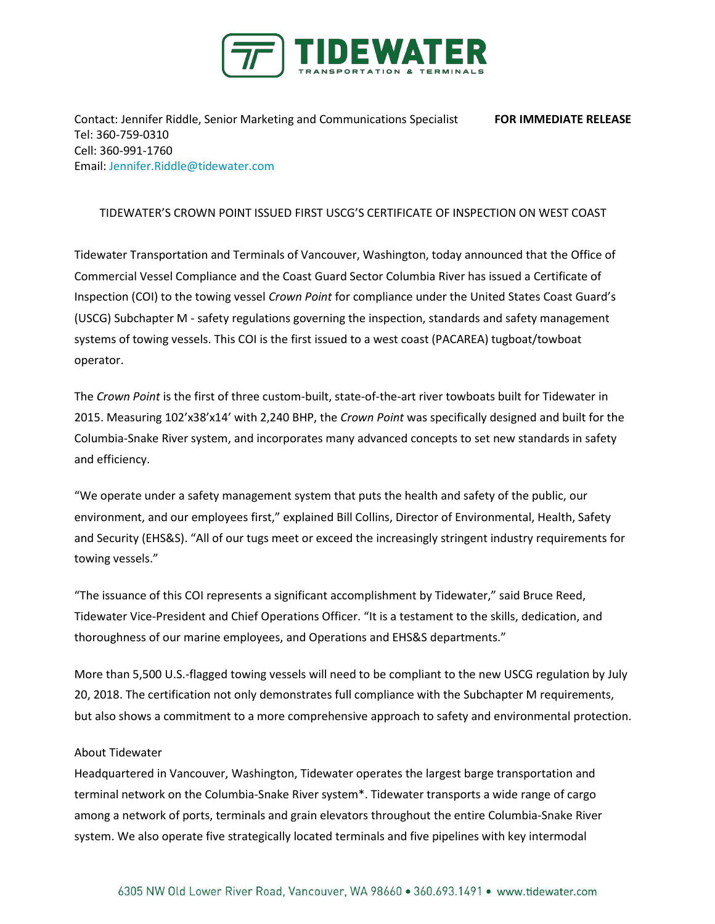

Contact: Jennifer Riddle, Senior Marketing and Communications Specialist **FOR IMMEDIATE RELEASE** Tel: 360-759-0310 Cell: 360-991-1760 Email[: Jennifer.Riddle@tidewater.com](mailto:Jennifer.Riddle@tidewater.com)

## TIDEWATER'S CROWN POINT ISSUED FIRST USCG'S CERTIFICATE OF INSPECTION ON WEST COAST

Tidewater Transportation and Terminals of Vancouver, Washington, today announced that the Office of Commercial Vessel Compliance and the Coast Guard Sector Columbia River has issued a Certificate of Inspection (COI) to the towing vessel *Crown Point* for compliance under the United States Coast Guard's (USCG) Subchapter M - safety regulations governing the inspection, standards and safety management systems of towing vessels. This COI is the first issued to a west coast (PACAREA) tugboat/towboat operator.

The *Crown Point* is the first of three custom-built, state-of-the-art river towboats built for Tidewater in 2015. Measuring 102'x38'x14' with 2,240 BHP, the *Crown Point* was specifically designed and built for the Columbia-Snake River system, and incorporates many advanced concepts to set new standards in safety and efficiency.

"We operate under a safety management system that puts the health and safety of the public, our environment, and our employees first," explained Bill Collins, Director of Environmental, Health, Safety and Security (EHS&S). "All of our tugs meet or exceed the increasingly stringent industry requirements for towing vessels."

"The issuance of this COI represents a significant accomplishment by Tidewater," said Bruce Reed, Tidewater Vice-President and Chief Operations Officer. "It is a testament to the skills, dedication, and thoroughness of our marine employees, and Operations and EHS&S departments."

More than 5,500 U.S.-flagged towing vessels will need to be compliant to the new USCG regulation by July 20, 2018. The certification not only demonstrates full compliance with the Subchapter M requirements, but also shows a commitment to a more comprehensive approach to safety and environmental protection.

## About Tidewater

Headquartered in Vancouver, Washington, Tidewater operates the largest barge transportation and terminal network on the Columbia-Snake River system\*. Tidewater transports a wide range of cargo among a network of ports, terminals and grain elevators throughout the entire Columbia-Snake River system. We also operate five strategically located terminals and five pipelines with key intermodal